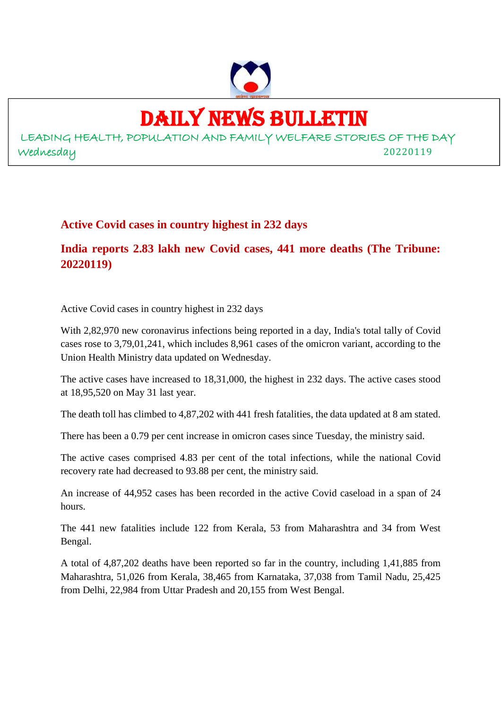

# DAILY NEWS BULLETIN

LEADING HEALTH, POPULATION AND FAMILY WELFARE STORIES OF THE DAY Wednesday 20220119

### **Active Covid cases in country highest in 232 days**

**India reports 2.83 lakh new Covid cases, 441 more deaths (The Tribune: 20220119)**

Active Covid cases in country highest in 232 days

With 2,82,970 new coronavirus infections being reported in a day, India's total tally of Covid cases rose to 3,79,01,241, which includes 8,961 cases of the omicron variant, according to the Union Health Ministry data updated on Wednesday.

The active cases have increased to 18,31,000, the highest in 232 days. The active cases stood at 18,95,520 on May 31 last year.

The death toll has climbed to 4,87,202 with 441 fresh fatalities, the data updated at 8 am stated.

There has been a 0.79 per cent increase in omicron cases since Tuesday, the ministry said.

The active cases comprised 4.83 per cent of the total infections, while the national Covid recovery rate had decreased to 93.88 per cent, the ministry said.

An increase of 44,952 cases has been recorded in the active Covid caseload in a span of 24 hours.

The 441 new fatalities include 122 from Kerala, 53 from Maharashtra and 34 from West Bengal.

A total of 4,87,202 deaths have been reported so far in the country, including 1,41,885 from Maharashtra, 51,026 from Kerala, 38,465 from Karnataka, 37,038 from Tamil Nadu, 25,425 from Delhi, 22,984 from Uttar Pradesh and 20,155 from West Bengal.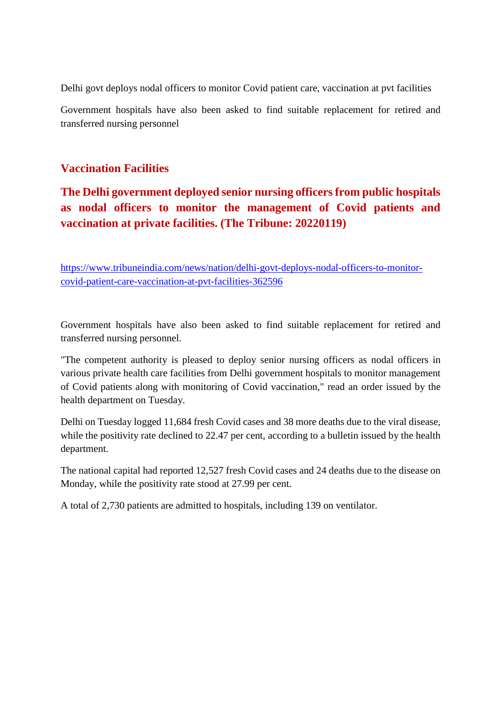Delhi govt deploys nodal officers to monitor Covid patient care, vaccination at pvt facilities

Government hospitals have also been asked to find suitable replacement for retired and transferred nursing personnel

#### **Vaccination Facilities**

# **The Delhi government deployed senior nursing officers from public hospitals as nodal officers to monitor the management of Covid patients and vaccination at private facilities. (The Tribune: 20220119)**

https://www.tribuneindia.com/news/nation/delhi-govt-deploys-nodal-officers-to-monitorcovid-patient-care-vaccination-at-pvt-facilities-362596

Government hospitals have also been asked to find suitable replacement for retired and transferred nursing personnel.

"The competent authority is pleased to deploy senior nursing officers as nodal officers in various private health care facilities from Delhi government hospitals to monitor management of Covid patients along with monitoring of Covid vaccination," read an order issued by the health department on Tuesday.

Delhi on Tuesday logged 11,684 fresh Covid cases and 38 more deaths due to the viral disease, while the positivity rate declined to 22.47 per cent, according to a bulletin issued by the health department.

The national capital had reported 12,527 fresh Covid cases and 24 deaths due to the disease on Monday, while the positivity rate stood at 27.99 per cent.

A total of 2,730 patients are admitted to hospitals, including 139 on ventilator.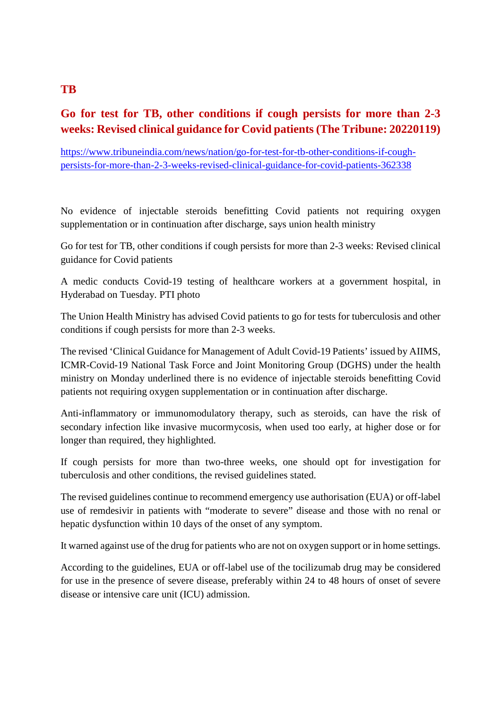# **Go for test for TB, other conditions if cough persists for more than 2-3 weeks: Revised clinical guidance for Covid patients (The Tribune: 20220119)**

https://www.tribuneindia.com/news/nation/go-for-test-for-tb-other-conditions-if-coughpersists-for-more-than-2-3-weeks-revised-clinical-guidance-for-covid-patients-362338

No evidence of injectable steroids benefitting Covid patients not requiring oxygen supplementation or in continuation after discharge, says union health ministry

Go for test for TB, other conditions if cough persists for more than 2-3 weeks: Revised clinical guidance for Covid patients

A medic conducts Covid-19 testing of healthcare workers at a government hospital, in Hyderabad on Tuesday. PTI photo

The Union Health Ministry has advised Covid patients to go for tests for tuberculosis and other conditions if cough persists for more than 2-3 weeks.

The revised 'Clinical Guidance for Management of Adult Covid-19 Patients' issued by AIIMS, ICMR-Covid-19 National Task Force and Joint Monitoring Group (DGHS) under the health ministry on Monday underlined there is no evidence of injectable steroids benefitting Covid patients not requiring oxygen supplementation or in continuation after discharge.

Anti-inflammatory or immunomodulatory therapy, such as steroids, can have the risk of secondary infection like invasive mucormycosis, when used too early, at higher dose or for longer than required, they highlighted.

If cough persists for more than two-three weeks, one should opt for investigation for tuberculosis and other conditions, the revised guidelines stated.

The revised guidelines continue to recommend emergency use authorisation (EUA) or off-label use of remdesivir in patients with "moderate to severe" disease and those with no renal or hepatic dysfunction within 10 days of the onset of any symptom.

It warned against use of the drug for patients who are not on oxygen support or in home settings.

According to the guidelines, EUA or off-label use of the tocilizumab drug may be considered for use in the presence of severe disease, preferably within 24 to 48 hours of onset of severe disease or intensive care unit (ICU) admission.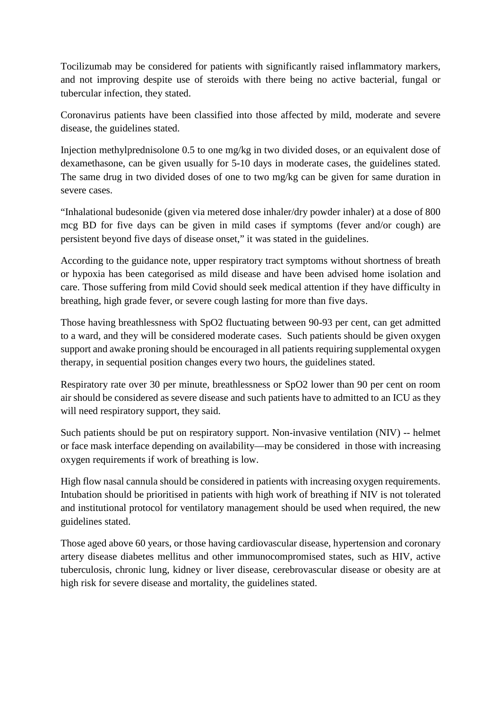Tocilizumab may be considered for patients with significantly raised inflammatory markers, and not improving despite use of steroids with there being no active bacterial, fungal or tubercular infection, they stated.

Coronavirus patients have been classified into those affected by mild, moderate and severe disease, the guidelines stated.

Injection methylprednisolone 0.5 to one mg/kg in two divided doses, or an equivalent dose of dexamethasone, can be given usually for 5-10 days in moderate cases, the guidelines stated. The same drug in two divided doses of one to two mg/kg can be given for same duration in severe cases.

"Inhalational budesonide (given via metered dose inhaler/dry powder inhaler) at a dose of 800 mcg BD for five days can be given in mild cases if symptoms (fever and/or cough) are persistent beyond five days of disease onset," it was stated in the guidelines.

According to the guidance note, upper respiratory tract symptoms without shortness of breath or hypoxia has been categorised as mild disease and have been advised home isolation and care. Those suffering from mild Covid should seek medical attention if they have difficulty in breathing, high grade fever, or severe cough lasting for more than five days.

Those having breathlessness with SpO2 fluctuating between 90-93 per cent, can get admitted to a ward, and they will be considered moderate cases. Such patients should be given oxygen support and awake proning should be encouraged in all patients requiring supplemental oxygen therapy, in sequential position changes every two hours, the guidelines stated.

Respiratory rate over 30 per minute, breathlessness or SpO2 lower than 90 per cent on room air should be considered as severe disease and such patients have to admitted to an ICU as they will need respiratory support, they said.

Such patients should be put on respiratory support. Non-invasive ventilation (NIV) -- helmet or face mask interface depending on availability—may be considered in those with increasing oxygen requirements if work of breathing is low.

High flow nasal cannula should be considered in patients with increasing oxygen requirements. Intubation should be prioritised in patients with high work of breathing if NIV is not tolerated and institutional protocol for ventilatory management should be used when required, the new guidelines stated.

Those aged above 60 years, or those having cardiovascular disease, hypertension and coronary artery disease diabetes mellitus and other immunocompromised states, such as HIV, active tuberculosis, chronic lung, kidney or liver disease, cerebrovascular disease or obesity are at high risk for severe disease and mortality, the guidelines stated.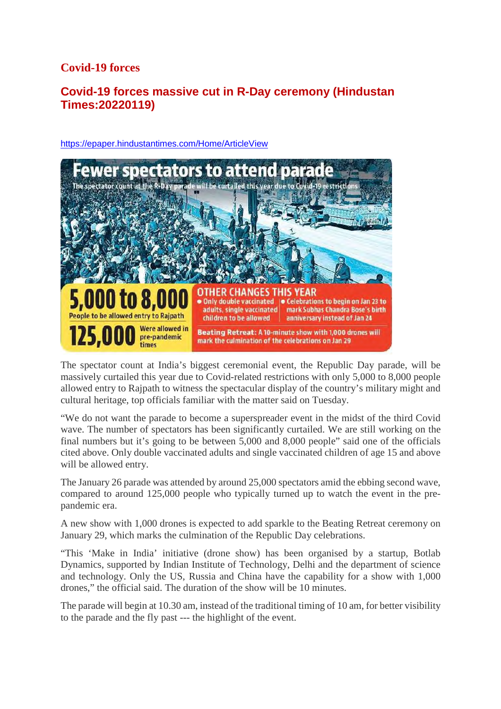### **Covid-19 forces**

# **Covid-19 forces massive cut in R-Day ceremony (Hindustan Times:20220119)**



https://epaper.hindustantimes.com/Home/ArticleView

The spectator count at India's biggest ceremonial event, the Republic Day parade, will be massively curtailed this year due to Covid-related restrictions with only 5,000 to 8,000 people allowed entry to Rajpath to witness the spectacular display of the country's military might and cultural heritage, top officials familiar with the matter said on Tuesday.

"We do not want the parade to become a superspreader event in the midst of the third Covid wave. The number of spectators has been significantly curtailed. We are still working on the final numbers but it's going to be between 5,000 and 8,000 people" said one of the officials cited above. Only double vaccinated adults and single vaccinated children of age 15 and above will be allowed entry.

The January 26 parade was attended by around 25,000 spectators amid the ebbing second wave, compared to around 125,000 people who typically turned up to watch the event in the prepandemic era.

A new show with 1,000 drones is expected to add sparkle to the Beating Retreat ceremony on January 29, which marks the culmination of the Republic Day celebrations.

"This 'Make in India' initiative (drone show) has been organised by a startup, Botlab Dynamics, supported by Indian Institute of Technology, Delhi and the department of science and technology. Only the US, Russia and China have the capability for a show with 1,000 drones," the official said. The duration of the show will be 10 minutes.

The parade will begin at 10.30 am, instead of the traditional timing of 10 am, for better visibility to the parade and the fly past --- the highlight of the event.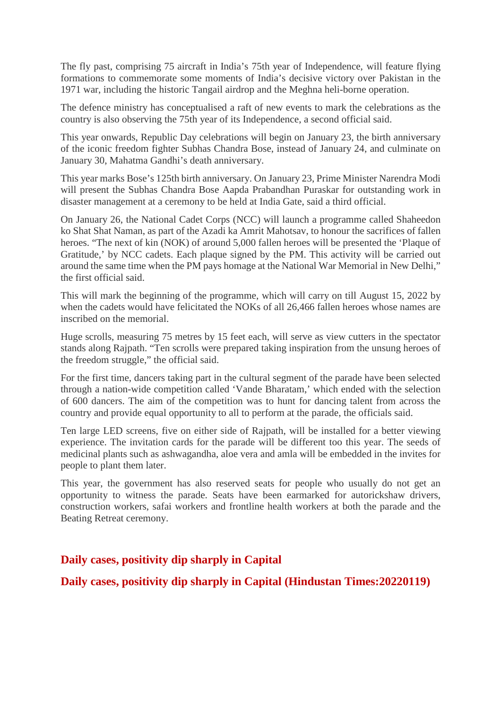The fly past, comprising 75 aircraft in India's 75th year of Independence, will feature flying formations to commemorate some moments of India's decisive victory over Pakistan in the 1971 war, including the historic Tangail airdrop and the Meghna heli-borne operation.

The defence ministry has conceptualised a raft of new events to mark the celebrations as the country is also observing the 75th year of its Independence, a second official said.

This year onwards, Republic Day celebrations will begin on January 23, the birth anniversary of the iconic freedom fighter Subhas Chandra Bose, instead of January 24, and culminate on January 30, Mahatma Gandhi's death anniversary.

This year marks Bose's 125th birth anniversary. On January 23, Prime Minister Narendra Modi will present the Subhas Chandra Bose Aapda Prabandhan Puraskar for outstanding work in disaster management at a ceremony to be held at India Gate, said a third official.

On January 26, the National Cadet Corps (NCC) will launch a programme called Shaheedon ko Shat Shat Naman, as part of the Azadi ka Amrit Mahotsav, to honour the sacrifices of fallen heroes. "The next of kin (NOK) of around 5,000 fallen heroes will be presented the 'Plaque of Gratitude,' by NCC cadets. Each plaque signed by the PM. This activity will be carried out around the same time when the PM pays homage at the National War Memorial in New Delhi," the first official said.

This will mark the beginning of the programme, which will carry on till August 15, 2022 by when the cadets would have felicitated the NOKs of all 26,466 fallen heroes whose names are inscribed on the memorial.

Huge scrolls, measuring 75 metres by 15 feet each, will serve as view cutters in the spectator stands along Rajpath. "Ten scrolls were prepared taking inspiration from the unsung heroes of the freedom struggle," the official said.

For the first time, dancers taking part in the cultural segment of the parade have been selected through a nation-wide competition called 'Vande Bharatam,' which ended with the selection of 600 dancers. The aim of the competition was to hunt for dancing talent from across the country and provide equal opportunity to all to perform at the parade, the officials said.

Ten large LED screens, five on either side of Rajpath, will be installed for a better viewing experience. The invitation cards for the parade will be different too this year. The seeds of medicinal plants such as ashwagandha, aloe vera and amla will be embedded in the invites for people to plant them later.

This year, the government has also reserved seats for people who usually do not get an opportunity to witness the parade. Seats have been earmarked for autorickshaw drivers, construction workers, safai workers and frontline health workers at both the parade and the Beating Retreat ceremony.

#### **Daily cases, positivity dip sharply in Capital**

**Daily cases, positivity dip sharply in Capital (Hindustan Times:20220119)**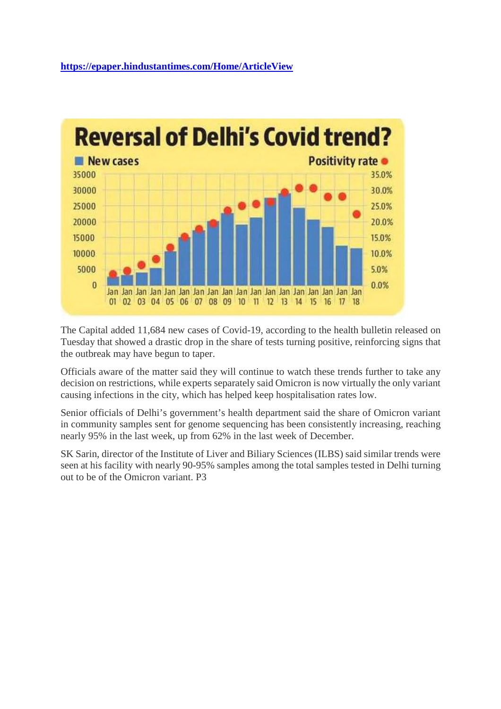

The Capital added 11,684 new cases of Covid-19, according to the health bulletin released on Tuesday that showed a drastic drop in the share of tests turning positive, reinforcing signs that the outbreak may have begun to taper.

Officials aware of the matter said they will continue to watch these trends further to take any decision on restrictions, while experts separately said Omicron is now virtually the only variant causing infections in the city, which has helped keep hospitalisation rates low.

Senior officials of Delhi's government's health department said the share of Omicron variant in community samples sent for genome sequencing has been consistently increasing, reaching nearly 95% in the last week, up from 62% in the last week of December.

SK Sarin, director of the Institute of Liver and Biliary Sciences (ILBS) said similar trends were seen at his facility with nearly 90-95% samples among the total samples tested in Delhi turning out to be of the Omicron variant. P3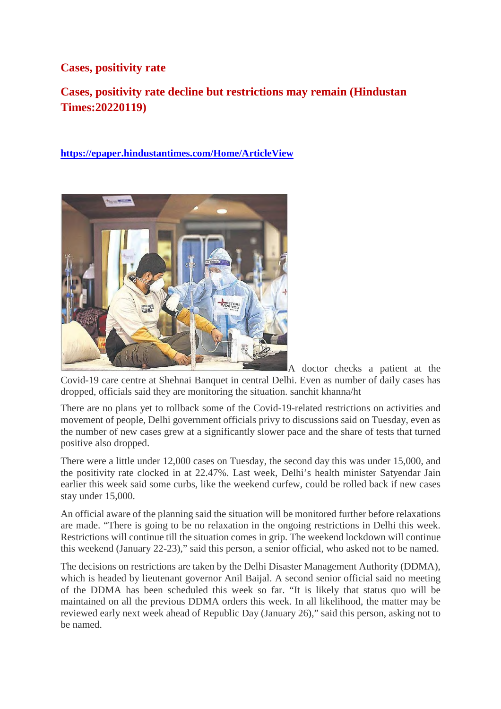#### **Cases, positivity rate**

# **Cases, positivity rate decline but restrictions may remain (Hindustan Times:20220119)**

**https://epaper.hindustantimes.com/Home/ArticleView**



A doctor checks a patient at the Covid-19 care centre at Shehnai Banquet in central Delhi. Even as number of daily cases has dropped, officials said they are monitoring the situation. sanchit khanna/ht

There are no plans yet to rollback some of the Covid-19-related restrictions on activities and movement of people, Delhi government officials privy to discussions said on Tuesday, even as the number of new cases grew at a significantly slower pace and the share of tests that turned positive also dropped.

There were a little under 12,000 cases on Tuesday, the second day this was under 15,000, and the positivity rate clocked in at 22.47%. Last week, Delhi's health minister Satyendar Jain earlier this week said some curbs, like the weekend curfew, could be rolled back if new cases stay under 15,000.

An official aware of the planning said the situation will be monitored further before relaxations are made. "There is going to be no relaxation in the ongoing restrictions in Delhi this week. Restrictions will continue till the situation comes in grip. The weekend lockdown will continue this weekend (January 22-23)," said this person, a senior official, who asked not to be named.

The decisions on restrictions are taken by the Delhi Disaster Management Authority (DDMA), which is headed by lieutenant governor Anil Baijal. A second senior official said no meeting of the DDMA has been scheduled this week so far. "It is likely that status quo will be maintained on all the previous DDMA orders this week. In all likelihood, the matter may be reviewed early next week ahead of Republic Day (January 26)," said this person, asking not to be named.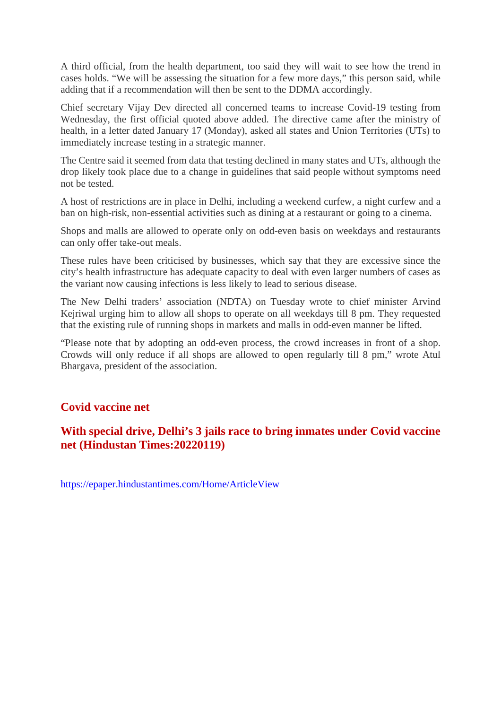A third official, from the health department, too said they will wait to see how the trend in cases holds. "We will be assessing the situation for a few more days," this person said, while adding that if a recommendation will then be sent to the DDMA accordingly.

Chief secretary Vijay Dev directed all concerned teams to increase Covid-19 testing from Wednesday, the first official quoted above added. The directive came after the ministry of health, in a letter dated January 17 (Monday), asked all states and Union Territories (UTs) to immediately increase testing in a strategic manner.

The Centre said it seemed from data that testing declined in many states and UTs, although the drop likely took place due to a change in guidelines that said people without symptoms need not be tested.

A host of restrictions are in place in Delhi, including a weekend curfew, a night curfew and a ban on high-risk, non-essential activities such as dining at a restaurant or going to a cinema.

Shops and malls are allowed to operate only on odd-even basis on weekdays and restaurants can only offer take-out meals.

These rules have been criticised by businesses, which say that they are excessive since the city's health infrastructure has adequate capacity to deal with even larger numbers of cases as the variant now causing infections is less likely to lead to serious disease.

The New Delhi traders' association (NDTA) on Tuesday wrote to chief minister Arvind Kejriwal urging him to allow all shops to operate on all weekdays till 8 pm. They requested that the existing rule of running shops in markets and malls in odd-even manner be lifted.

"Please note that by adopting an odd-even process, the crowd increases in front of a shop. Crowds will only reduce if all shops are allowed to open regularly till 8 pm," wrote Atul Bhargava, president of the association.

#### **Covid vaccine net**

#### **With special drive, Delhi's 3 jails race to bring inmates under Covid vaccine net (Hindustan Times:20220119)**

https://epaper.hindustantimes.com/Home/ArticleView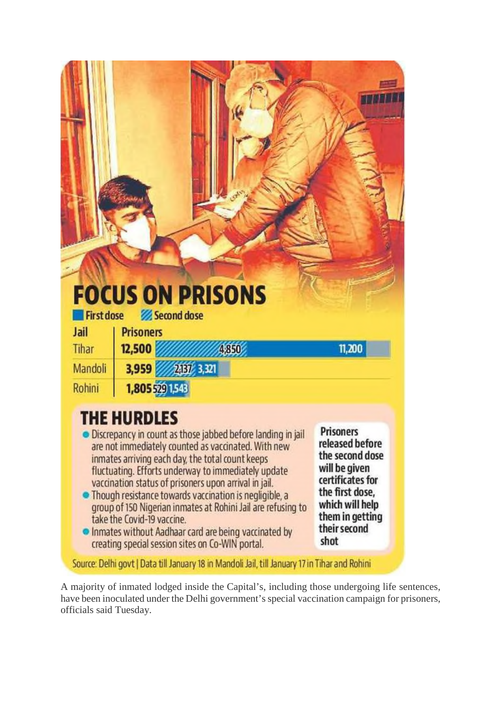| <b>First dose</b>                                      | <b>FOCUS ON PRISONS</b><br>Second dose                                                                                                                                                                                                                                                                                                                                                                                                                                 |                                                                                                                                                      |
|--------------------------------------------------------|------------------------------------------------------------------------------------------------------------------------------------------------------------------------------------------------------------------------------------------------------------------------------------------------------------------------------------------------------------------------------------------------------------------------------------------------------------------------|------------------------------------------------------------------------------------------------------------------------------------------------------|
| Jail                                                   | <b>Prisoners</b>                                                                                                                                                                                                                                                                                                                                                                                                                                                       |                                                                                                                                                      |
| Tihar<br>Mandoli                                       | 12,500<br>4,850<br>3,959 2337 3,321                                                                                                                                                                                                                                                                                                                                                                                                                                    | 11,200                                                                                                                                               |
| Rohini                                                 | 1,805 529 1,543                                                                                                                                                                                                                                                                                                                                                                                                                                                        |                                                                                                                                                      |
| • Inmates without Aadhaar card are being vaccinated by | <b>THE HURDLES</b><br>Discrepancy in count as those jabbed before landing in jail<br>are not immediately counted as vaccinated. With new<br>inmates arriving each day, the total count keeps<br>fluctuating. Efforts underway to immediately update<br>vaccination status of prisoners upon arrival in jail.<br>• Though resistance towards vaccination is negligible, a<br>group of 150 Nigerian inmates at Rohini Jail are refusing to<br>take the Covid-19 vaccine. | <b>Prisoners</b><br>released before<br>the second dose<br>will be given<br>certificates for<br>the first dose,<br>which will help<br>them in getting |

A majority of inmated lodged inside the Capital's, including those undergoing life sentences, have been inoculated under the Delhi government's special vaccination campaign for prisoners, officials said Tuesday.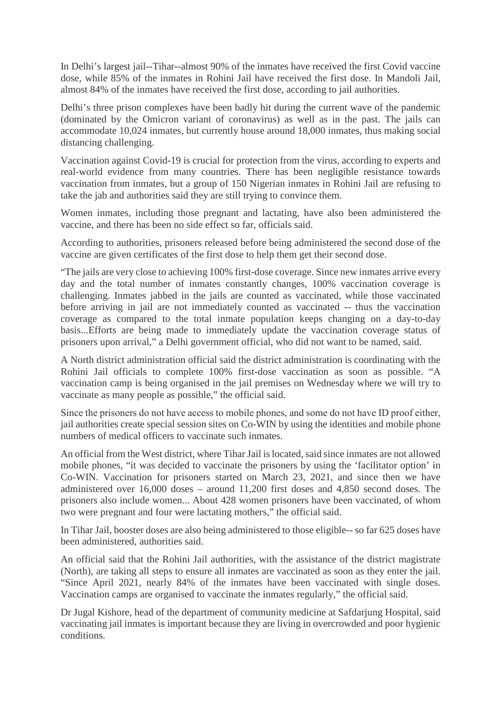In Delhi's largest jail--Tihar--almost 90% of the inmates have received the first Covid vaccine dose, while 85% of the inmates in Rohini Jail have received the first dose. In Mandoli Jail, almost 84% of the inmates have received the first dose, according to jail authorities.

Delhi's three prison complexes have been badly hit during the current wave of the pandemic (dominated by the Omicron variant of coronavirus) as well as in the past. The jails can accommodate 10,024 inmates, but currently house around 18,000 inmates, thus making social distancing challenging.

Vaccination against Covid-19 is crucial for protection from the virus, according to experts and real-world evidence from many countries. There has been negligible resistance towards vaccination from inmates, but a group of 150 Nigerian inmates in Rohini Jail are refusing to take the jab and authorities said they are still trying to convince them.

Women inmates, including those pregnant and lactating, have also been administered the vaccine, and there has been no side effect so far, officials said.

According to authorities, prisoners released before being administered the second dose of the vaccine are given certificates of the first dose to help them get their second dose.

"The jails are very close to achieving 100% first-dose coverage. Since new inmates arrive every day and the total number of inmates constantly changes, 100% vaccination coverage is challenging. Inmates jabbed in the jails are counted as vaccinated, while those vaccinated before arriving in jail are not immediately counted as vaccinated -- thus the vaccination coverage as compared to the total inmate population keeps changing on a day-to-day basis...Efforts are being made to immediately update the vaccination coverage status of prisoners upon arrival," a Delhi government official, who did not want to be named, said.

A North district administration official said the district administration is coordinating with the Rohini Jail officials to complete 100% first-dose vaccination as soon as possible. "A vaccination camp is being organised in the jail premises on Wednesday where we will try to vaccinate as many people as possible," the official said.

Since the prisoners do not have access to mobile phones, and some do not have ID proof either, jail authorities create special session sites on Co-WIN by using the identities and mobile phone numbers of medical officers to vaccinate such inmates.

An official from the West district, where Tihar Jail is located, said since inmates are not allowed mobile phones, "it was decided to vaccinate the prisoners by using the 'facilitator option' in Co-WIN. Vaccination for prisoners started on March 23, 2021, and since then we have administered over 16,000 doses – around 11,200 first doses and 4,850 second doses. The prisoners also include women... About 428 women prisoners have been vaccinated, of whom two were pregnant and four were lactating mothers," the official said.

In Tihar Jail, booster doses are also being administered to those eligible-- so far 625 doses have been administered, authorities said.

An official said that the Rohini Jail authorities, with the assistance of the district magistrate (North), are taking all steps to ensure all inmates are vaccinated as soon as they enter the jail. "Since April 2021, nearly 84% of the inmates have been vaccinated with single doses. Vaccination camps are organised to vaccinate the inmates regularly," the official said.

Dr Jugal Kishore, head of the department of community medicine at Safdarjung Hospital, said vaccinating jail inmates is important because they are living in overcrowded and poor hygienic conditions.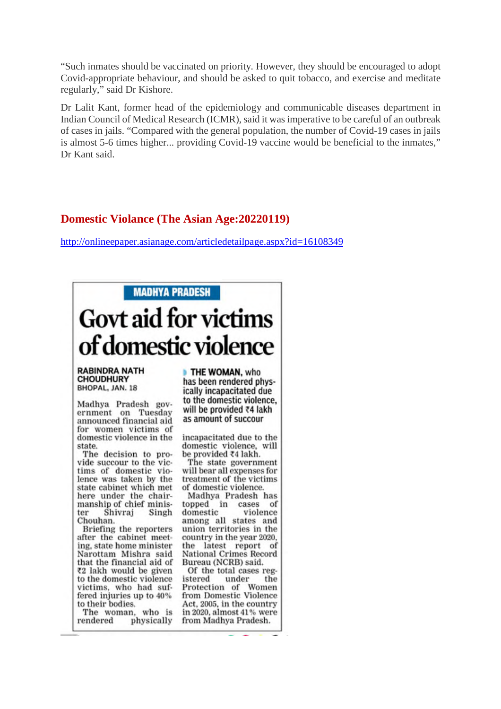"Such inmates should be vaccinated on priority. However, they should be encouraged to adopt Covid-appropriate behaviour, and should be asked to quit tobacco, and exercise and meditate regularly," said Dr Kishore.

Dr Lalit Kant, former head of the epidemiology and communicable diseases department in Indian Council of Medical Research (ICMR), said it was imperative to be careful of an outbreak of cases in jails. "Compared with the general population, the number of Covid-19 cases in jails is almost 5-6 times higher... providing Covid-19 vaccine would be beneficial to the inmates," Dr Kant said.

#### **Domestic Violance (The Asian Age:20220119)**

http://onlineepaper.asianage.com/articledetailpage.aspx?id=16108349



to their bodies. The woman, who is rendered physically

domestic violence, will

The state government will bear all expenses for treatment of the victims

Madhya Pradesh has of violence among all states and union territories in the country in the year 2020, the latest report of **National Crimes Record** 

Of the total cases regthe Protection of Women from Domestic Violence Act, 2005, in the country in 2020, almost 41% were from Madhya Pradesh.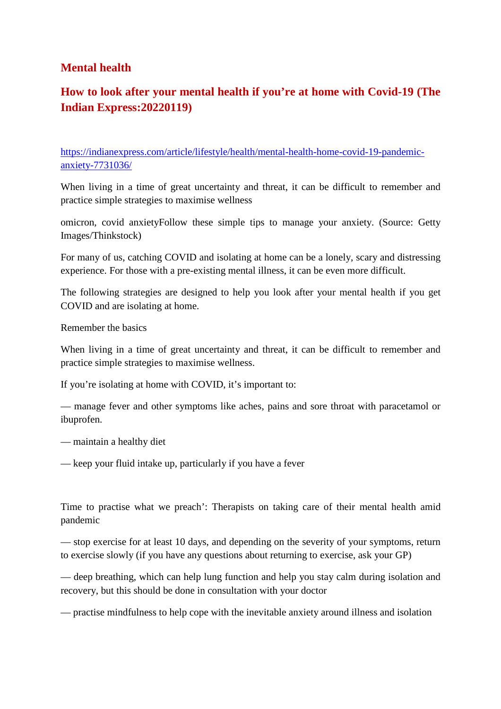#### **Mental health**

# **How to look after your mental health if you're at home with Covid-19 (The Indian Express:20220119)**

https://indianexpress.com/article/lifestyle/health/mental-health-home-covid-19-pandemicanxiety-7731036/

When living in a time of great uncertainty and threat, it can be difficult to remember and practice simple strategies to maximise wellness

omicron, covid anxietyFollow these simple tips to manage your anxiety. (Source: Getty Images/Thinkstock)

For many of us, catching COVID and isolating at home can be a lonely, scary and distressing experience. For those with a pre-existing mental illness, it can be even more difficult.

The following strategies are designed to help you look after your mental health if you get COVID and are isolating at home.

Remember the basics

When living in a time of great uncertainty and threat, it can be difficult to remember and practice simple strategies to maximise wellness.

If you're isolating at home with COVID, it's important to:

— manage fever and other symptoms like aches, pains and sore throat with paracetamol or ibuprofen.

— maintain a healthy diet

— keep your fluid intake up, particularly if you have a fever

Time to practise what we preach': Therapists on taking care of their mental health amid pandemic

— stop exercise for at least 10 days, and depending on the severity of your symptoms, return to exercise slowly (if you have any questions about returning to exercise, ask your GP)

— deep breathing, which can help lung function and help you stay calm during isolation and recovery, but this should be done in consultation with your doctor

— practise mindfulness to help cope with the inevitable anxiety around illness and isolation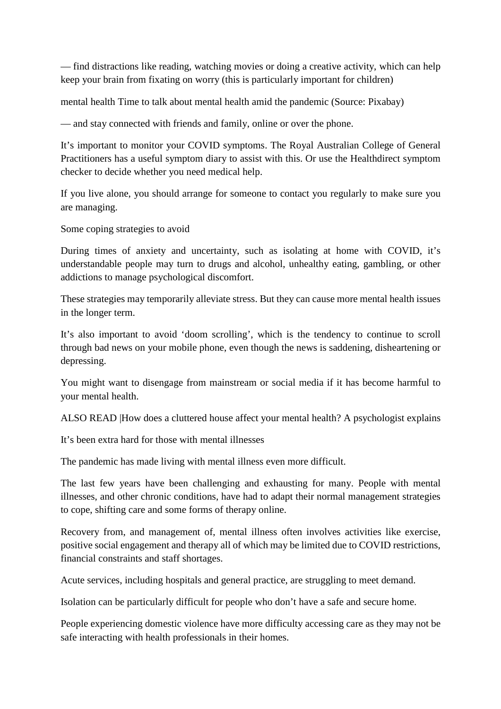— find distractions like reading, watching movies or doing a creative activity, which can help keep your brain from fixating on worry (this is particularly important for children)

mental health Time to talk about mental health amid the pandemic (Source: Pixabay)

— and stay connected with friends and family, online or over the phone.

It's important to monitor your COVID symptoms. The Royal Australian College of General Practitioners has a useful symptom diary to assist with this. Or use the Healthdirect symptom checker to decide whether you need medical help.

If you live alone, you should arrange for someone to contact you regularly to make sure you are managing.

Some coping strategies to avoid

During times of anxiety and uncertainty, such as isolating at home with COVID, it's understandable people may turn to drugs and alcohol, unhealthy eating, gambling, or other addictions to manage psychological discomfort.

These strategies may temporarily alleviate stress. But they can cause more mental health issues in the longer term.

It's also important to avoid 'doom scrolling', which is the tendency to continue to scroll through bad news on your mobile phone, even though the news is saddening, disheartening or depressing.

You might want to disengage from mainstream or social media if it has become harmful to your mental health.

ALSO READ |How does a cluttered house affect your mental health? A psychologist explains

It's been extra hard for those with mental illnesses

The pandemic has made living with mental illness even more difficult.

The last few years have been challenging and exhausting for many. People with mental illnesses, and other chronic conditions, have had to adapt their normal management strategies to cope, shifting care and some forms of therapy online.

Recovery from, and management of, mental illness often involves activities like exercise, positive social engagement and therapy all of which may be limited due to COVID restrictions, financial constraints and staff shortages.

Acute services, including hospitals and general practice, are struggling to meet demand.

Isolation can be particularly difficult for people who don't have a safe and secure home.

People experiencing domestic violence have more difficulty accessing care as they may not be safe interacting with health professionals in their homes.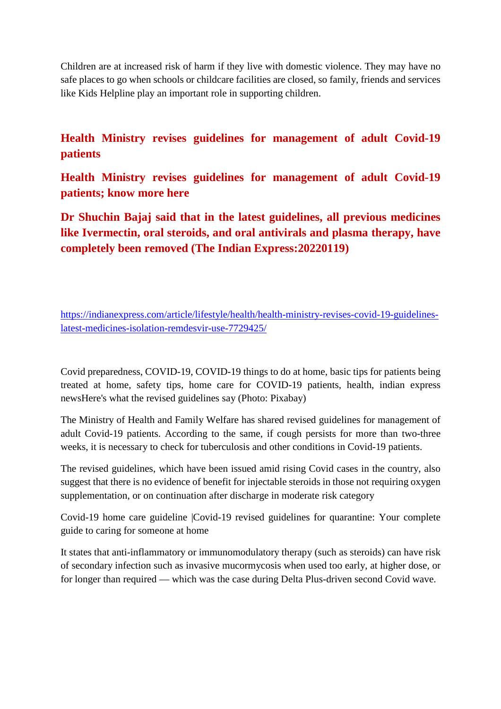Children are at increased risk of harm if they live with domestic violence. They may have no safe places to go when schools or childcare facilities are closed, so family, friends and services like Kids Helpline play an important role in supporting children.

**Health Ministry revises guidelines for management of adult Covid-19 patients**

**Health Ministry revises guidelines for management of adult Covid-19 patients; know more here**

**Dr Shuchin Bajaj said that in the latest guidelines, all previous medicines like Ivermectin, oral steroids, and oral antivirals and plasma therapy, have completely been removed (The Indian Express:20220119)**

https://indianexpress.com/article/lifestyle/health/health-ministry-revises-covid-19-guidelineslatest-medicines-isolation-remdesvir-use-7729425/

Covid preparedness, COVID-19, COVID-19 things to do at home, basic tips for patients being treated at home, safety tips, home care for COVID-19 patients, health, indian express newsHere's what the revised guidelines say (Photo: Pixabay)

The Ministry of Health and Family Welfare has shared revised guidelines for management of adult Covid-19 patients. According to the same, if cough persists for more than two-three weeks, it is necessary to check for tuberculosis and other conditions in Covid-19 patients.

The revised guidelines, which have been issued amid rising Covid cases in the country, also suggest that there is no evidence of benefit for injectable steroids in those not requiring oxygen supplementation, or on continuation after discharge in moderate risk category

Covid-19 home care guideline |Covid-19 revised guidelines for quarantine: Your complete guide to caring for someone at home

It states that anti-inflammatory or immunomodulatory therapy (such as steroids) can have risk of secondary infection such as invasive mucormycosis when used too early, at higher dose, or for longer than required — which was the case during Delta Plus-driven second Covid wave.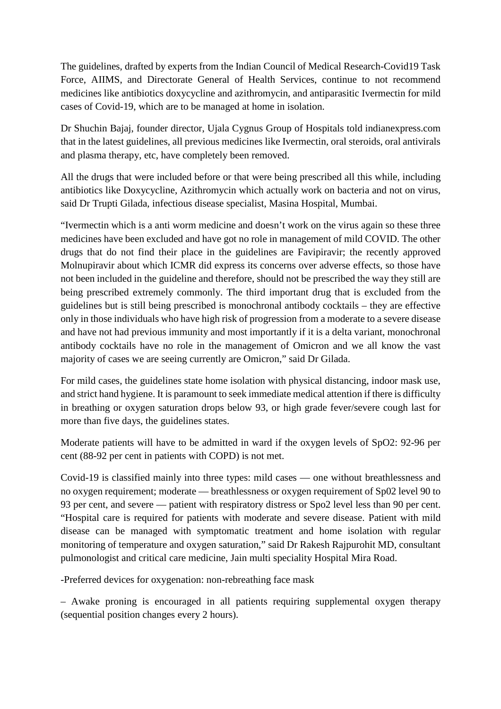The guidelines, drafted by experts from the Indian Council of Medical Research-Covid19 Task Force, AIIMS, and Directorate General of Health Services, continue to not recommend medicines like antibiotics doxycycline and azithromycin, and antiparasitic Ivermectin for mild cases of Covid-19, which are to be managed at home in isolation.

Dr Shuchin Bajaj, founder director, Ujala Cygnus Group of Hospitals told indianexpress.com that in the latest guidelines, all previous medicines like Ivermectin, oral steroids, oral antivirals and plasma therapy, etc, have completely been removed.

All the drugs that were included before or that were being prescribed all this while, including antibiotics like Doxycycline, Azithromycin which actually work on bacteria and not on virus, said Dr Trupti Gilada, infectious disease specialist, Masina Hospital, Mumbai.

"Ivermectin which is a anti worm medicine and doesn't work on the virus again so these three medicines have been excluded and have got no role in management of mild COVID. The other drugs that do not find their place in the guidelines are Favipiravir; the recently approved Molnupiravir about which ICMR did express its concerns over adverse effects, so those have not been included in the guideline and therefore, should not be prescribed the way they still are being prescribed extremely commonly. The third important drug that is excluded from the guidelines but is still being prescribed is monochronal antibody cocktails – they are effective only in those individuals who have high risk of progression from a moderate to a severe disease and have not had previous immunity and most importantly if it is a delta variant, monochronal antibody cocktails have no role in the management of Omicron and we all know the vast majority of cases we are seeing currently are Omicron," said Dr Gilada.

For mild cases, the guidelines state home isolation with physical distancing, indoor mask use, and strict hand hygiene. It is paramount to seek immediate medical attention if there is difficulty in breathing or oxygen saturation drops below 93, or high grade fever/severe cough last for more than five days, the guidelines states.

Moderate patients will have to be admitted in ward if the oxygen levels of SpO2: 92-96 per cent (88-92 per cent in patients with COPD) is not met.

Covid-19 is classified mainly into three types: mild cases — one without breathlessness and no oxygen requirement; moderate — breathlessness or oxygen requirement of Sp02 level 90 to 93 per cent, and severe — patient with respiratory distress or Spo2 level less than 90 per cent. "Hospital care is required for patients with moderate and severe disease. Patient with mild disease can be managed with symptomatic treatment and home isolation with regular monitoring of temperature and oxygen saturation," said Dr Rakesh Rajpurohit MD, consultant pulmonologist and critical care medicine, Jain multi speciality Hospital Mira Road.

-Preferred devices for oxygenation: non-rebreathing face mask

– Awake proning is encouraged in all patients requiring supplemental oxygen therapy (sequential position changes every 2 hours).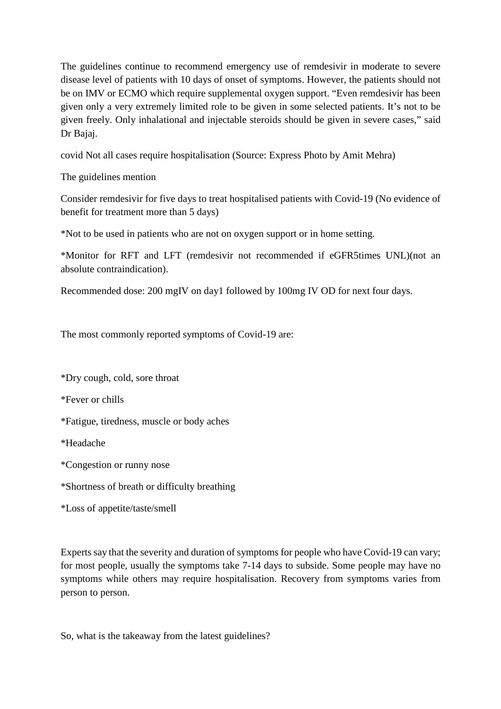The guidelines continue to recommend emergency use of remdesivir in moderate to severe disease level of patients with 10 days of onset of symptoms. However, the patients should not be on IMV or ECMO which require supplemental oxygen support. "Even remdesivir has been given only a very extremely limited role to be given in some selected patients. It's not to be given freely. Only inhalational and injectable steroids should be given in severe cases," said Dr Bajaj.

covid Not all cases require hospitalisation (Source: Express Photo by Amit Mehra)

The guidelines mention

Consider remdesivir for five days to treat hospitalised patients with Covid-19 (No evidence of benefit for treatment more than 5 days)

\*Not to be used in patients who are not on oxygen support or in home setting.

\*Monitor for RFT and LFT (remdesivir not recommended if eGFR5times UNL)(not an absolute contraindication).

Recommended dose: 200 mgIV on day1 followed by 100mg IV OD for next four days.

The most commonly reported symptoms of Covid-19 are:

\*Dry cough, cold, sore throat

\*Fever or chills

\*Fatigue, tiredness, muscle or body aches

\*Headache

\*Congestion or runny nose

\*Shortness of breath or difficulty breathing

\*Loss of appetite/taste/smell

Experts say that the severity and duration of symptoms for people who have Covid-19 can vary; for most people, usually the symptoms take 7-14 days to subside. Some people may have no symptoms while others may require hospitalisation. Recovery from symptoms varies from person to person.

So, what is the takeaway from the latest guidelines?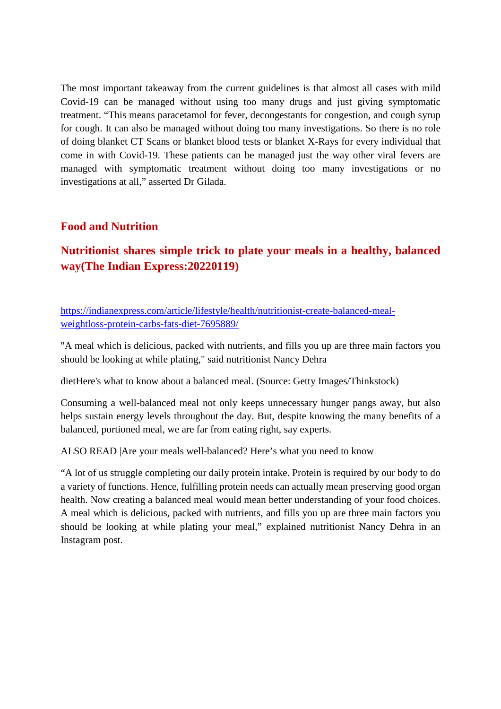The most important takeaway from the current guidelines is that almost all cases with mild Covid-19 can be managed without using too many drugs and just giving symptomatic treatment. "This means paracetamol for fever, decongestants for congestion, and cough syrup for cough. It can also be managed without doing too many investigations. So there is no role of doing blanket CT Scans or blanket blood tests or blanket X-Rays for every individual that come in with Covid-19. These patients can be managed just the way other viral fevers are managed with symptomatic treatment without doing too many investigations or no investigations at all," asserted Dr Gilada.

#### **Food and Nutrition**

# **Nutritionist shares simple trick to plate your meals in a healthy, balanced way(The Indian Express:20220119)**

https://indianexpress.com/article/lifestyle/health/nutritionist-create-balanced-mealweightloss-protein-carbs-fats-diet-7695889/

"A meal which is delicious, packed with nutrients, and fills you up are three main factors you should be looking at while plating," said nutritionist Nancy Dehra

dietHere's what to know about a balanced meal. (Source: Getty Images/Thinkstock)

Consuming a well-balanced meal not only keeps unnecessary hunger pangs away, but also helps sustain energy levels throughout the day. But, despite knowing the many benefits of a balanced, portioned meal, we are far from eating right, say experts.

ALSO READ |Are your meals well-balanced? Here's what you need to know

"A lot of us struggle completing our daily protein intake. Protein is required by our body to do a variety of functions. Hence, fulfilling protein needs can actually mean preserving good organ health. Now creating a balanced meal would mean better understanding of your food choices. A meal which is delicious, packed with nutrients, and fills you up are three main factors you should be looking at while plating your meal," explained nutritionist Nancy Dehra in an Instagram post.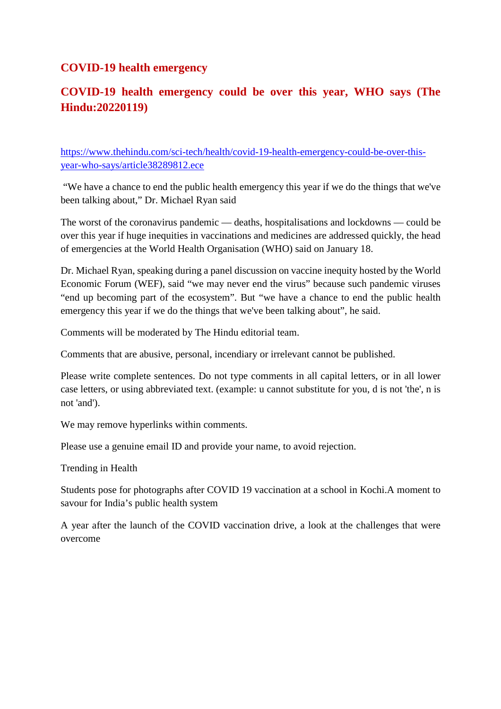#### **COVID-19 health emergency**

# **COVID-19 health emergency could be over this year, WHO says (The Hindu:20220119)**

https://www.thehindu.com/sci-tech/health/covid-19-health-emergency-could-be-over-thisyear-who-says/article38289812.ece

"We have a chance to end the public health emergency this year if we do the things that we've been talking about," Dr. Michael Ryan said

The worst of the coronavirus pandemic — deaths, hospitalisations and lockdowns — could be over this year if huge inequities in vaccinations and medicines are addressed quickly, the head of emergencies at the World Health Organisation (WHO) said on January 18.

Dr. Michael Ryan, speaking during a panel discussion on vaccine inequity hosted by the World Economic Forum (WEF), said "we may never end the virus" because such pandemic viruses "end up becoming part of the ecosystem". But "we have a chance to end the public health emergency this year if we do the things that we've been talking about", he said.

Comments will be moderated by The Hindu editorial team.

Comments that are abusive, personal, incendiary or irrelevant cannot be published.

Please write complete sentences. Do not type comments in all capital letters, or in all lower case letters, or using abbreviated text. (example: u cannot substitute for you, d is not 'the', n is not 'and').

We may remove hyperlinks within comments.

Please use a genuine email ID and provide your name, to avoid rejection.

Trending in Health

Students pose for photographs after COVID 19 vaccination at a school in Kochi.A moment to savour for India's public health system

A year after the launch of the COVID vaccination drive, a look at the challenges that were overcome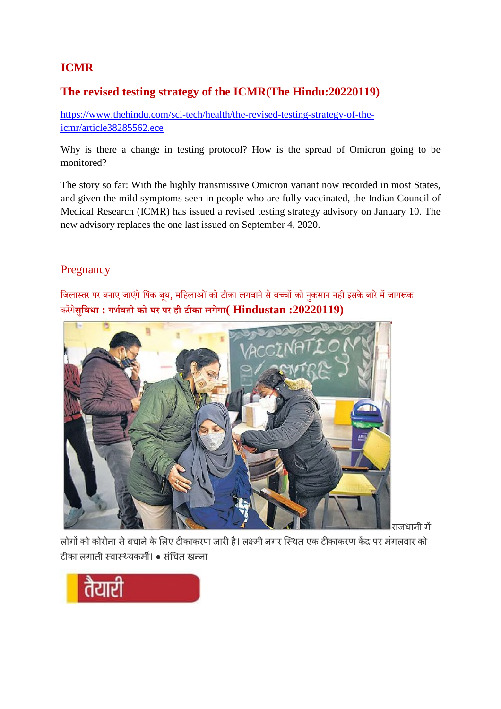# **ICMR**

#### **The revised testing strategy of the ICMR(The Hindu:20220119)**

https://www.thehindu.com/sci-tech/health/the-revised-testing-strategy-of-theicmr/article38285562.ece

Why is there a change in testing protocol? How is the spread of Omicron going to be monitored?

The story so far: With the highly transmissive Omicron variant now recorded in most States, and given the mild symptoms seen in people who are fully vaccinated, the Indian Council of Medical Research (ICMR) has issued a revised testing strategy advisory on January 10. The new advisory replaces the one last issued on September 4, 2020.

### Pregnancy

जिलास्तर पर बनाए जाएंगे पिंक बूथ, महिलाओं को टीका लगवाने से बच्चों को नुकसान नहीं इसके बारे में जागरूक करगे**सिुवधा : गभवती को घर पर ही टीका लगेगा( Hindustan :20220119)**



राजधानी म

लोगों को कोरोना से बचाने के लिए टीकाकरण जारी है। लक्ष्मी नगर स्थित एक टीकाकरण केंद्र पर मंगलवार को टीका लगाती स्वास्थ्यकर्मी। • संचित खन्ना

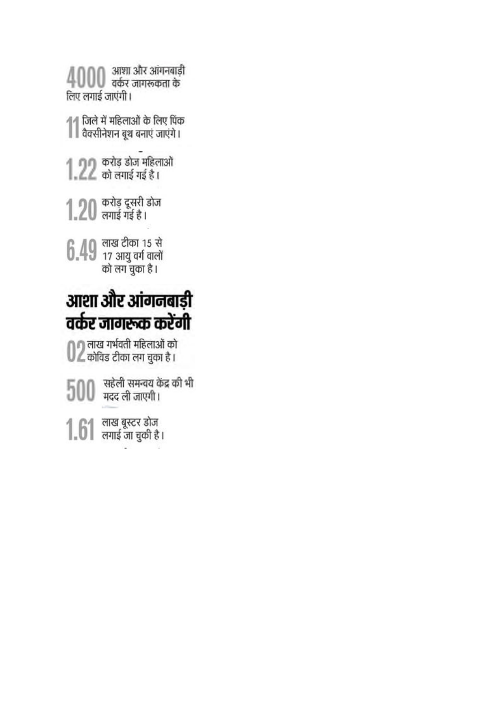$4000$  अाशा और आंगनबाड़ी लिए लगाई जाएंगी। ↑↑ जिले में महिलाओं के लिए पिंक<br>↑ । वैक्सीनेशन बूथ बनाएं जाएंगे।  $1.22$  करोड़ डोज महिलाओं  $1.20$  करोड़ दूसरी डोज  $6.49$  लाख टीका 15 से<br> $6.49$  17 आयु वर्ग वालों<br>को लग चुका है। आशा और आंगनबाड़ी वर्कर जागरूक करेंगी ● अताख गर्भवती महिलाओं को<br>● अतिंड टीका लग चुका है ।  $500$  सहेली समन्वय केंद्र की भी

 $1.61$  लाख बूस्टर डोज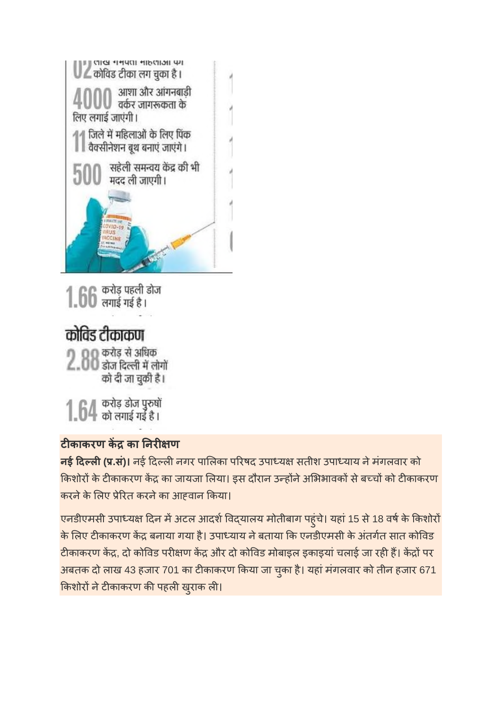

 $1.66$  करोड़ पहली डोज कोविड टीकाकण

2.00 करोड़ से अधिक<br>2.00 डोज दिल्ली में लोगों को दी जा चुकी है।

 $1.64$  करोड़ डोज पुरुषों

# **टकाकरण क का नर ण**

**नई दल(.सं)।** नई दलनगर पालका परषद उपाय सतीश उपायाय नेमंगलवार को किशोरों के टीकाकरण केंद्र का जायजा लिया। इस दौरान उन्होंने अभिभावकों से बच्चों को टीकाकरण करने के लिए प्रेरित करने का आहवान किया।

एनडीएमसी उपाध्यक्ष दिन में अटल आदर्श विद्यालय मोतीबाग पहुंचे। यहां 15 से 18 वर्ष के किशोरों के लिए टीकाकरण केंद्र बनाया गया है। उपाध्याय ने बताया कि एनडीएमसी के अंतर्गत सात कोविड टीकाकरण केंद्र, दो कोविड परीक्षण केंद्र और दो कोविड मोबाइल इकाइयां चलाई जा रही हैं। केंद्रों पर अबतक दो लाख 43 हजार 701 का टीकाकरण किया जा चुका है। यहां मंगलवार को तीन हजार 671 किशोरों ने टीकाकरण की पहली ख़ुराक ली।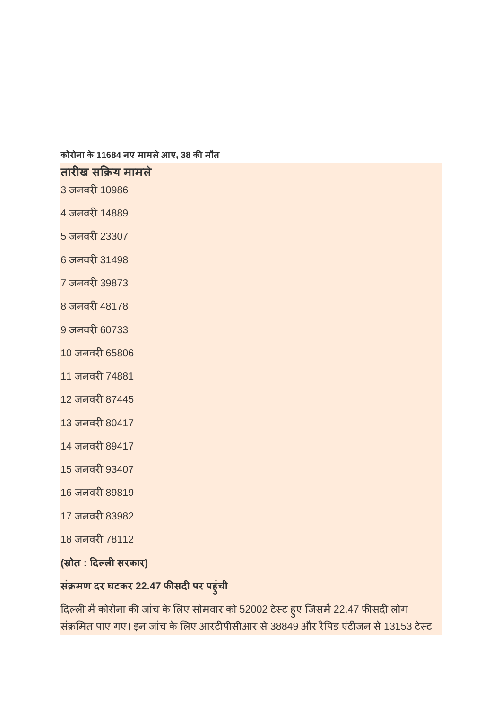**कोरोना के 11684 नए मामलेआए, 38 कमौत**

#### **तारख स य मामले**

3 जनवरी 10986

4 जनवरी 14889

 $5 \overline{x}$ जनवरी 23307

6 जनवरी 31498

7 जनवरी 39873

8 जनवरी 48178

9 जनवरी 60733

10 जनवरी 65806

11 जनवरी 74881

12 जनवरी 87445

13 जनवरी 80417

14 जनवरी 89417

15 जनवरी 93407

16 जनवरी 89819

17 जनवरी 83982

18 जनवरी 78112

**( ोत : दलसरकार)**

# **सं मण दर घटकर 22.47 फसदपर पहुंची**

दिल्ली में कोरोना की जांच के लिए सोमवार को 52002 टेस्ट हुए जिसमें 22.47 फीसदी लोग संक्रमित पाए गए। इन जांच के लिए आरटीपीसीआर से 38849 और रैपिड एंटीजन से 13153 टेस्ट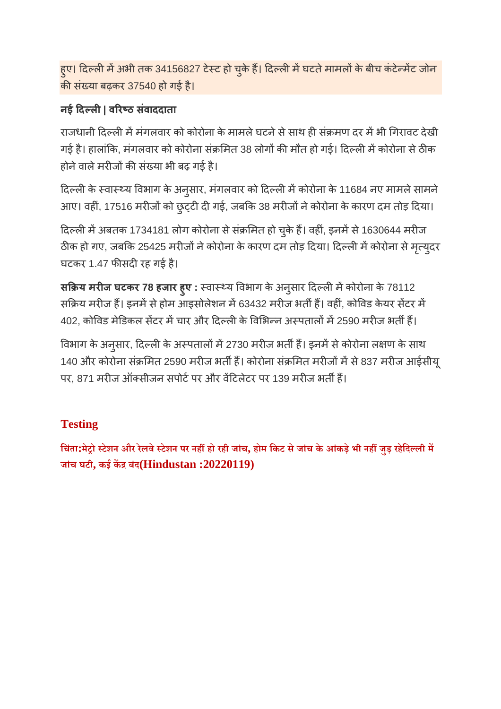हुए। दिल्ली में अभी तक 34156827 टेस्ट हो चुके हैं। दिल्ली में घटते मामलों के बीच कंटेन्मेंट जोन की संख्या बढ़कर 37540 हो गई है।

# **नई दल| वरठ संवाददाता**

राजधानी दिल्ली में मंगलवार को कोरोना के मामले घटने से साथ ही संक्रमण दर में भी गिरावट देखी गई है। हालांकि, मंगलवार को कोरोना संक्रमित 38 लोगों की मौत हो गई। दिल्ली में कोरोना से ठीक होने वाले मरीजों की संख्या भी बढ़ गई है।

दिल्ली के स्वास्थ्य विभाग के अनुसार, मंगलवार को दिल्ली में कोरोना के 11684 नए मामले सामने आए। वहीं, 17516 मरीजों को छुट्टी दी गई, जबकि 38 मरीजों ने कोरोना के कारण दम तोड़ दिया।

दिल्ली में अबतक 1734181 लोग कोरोना से संक्रमित हो चुके हैं। वहीं, इनमें से 1630644 मरीज ठीक हो गए, जबकि 25425 मरीजों ने कोरोना के कारण दम तोड़ दिया। दिल्ली में कोरोना से मृत्युदर घटकर 1.47 फीसदी रह गई है।

**स य मरज घटकर 78 हजार हुए :** वाय वभाग के अनुसार दलमकोरोना के 78112 सक्रिय मरीज हैं। इनमें से होम आइसोलेशन में 63432 मरीज भर्ती हैं। वहीं, कोविड केयर सेंटर में 402, कोविड मेडिकल सेंटर में चार और दिल्ली के विभिन्न अस्पतालों में 2590 मरीज भर्ती हैं।

विभाग के अनुसार, दिल्ली के अस्पतालों में 2730 मरीज भर्ती हैं। इनमें से कोरोना लक्षण के साथ 140 और कोरोना संक्रमित 2590 मरीज भर्ती हैं। कोरोना संक्रमित मरीजों में से 837 मरीज आईसीयू पर, 871 मरीज ऑक्सीजन सपोर्ट पर और वेंटिलेटर पर 139 मरीज भर्ती हैं।

# **Testing**

चिंता:मेट्रो स्टेशन और रेलवे स्टेशन पर नहीं हो रही जांच, होम किट से जांच के आंकड़े भी नहीं जुड़ रहेदिल्ली में **जांच घटी, कई कबंद(Hindustan :20220119)**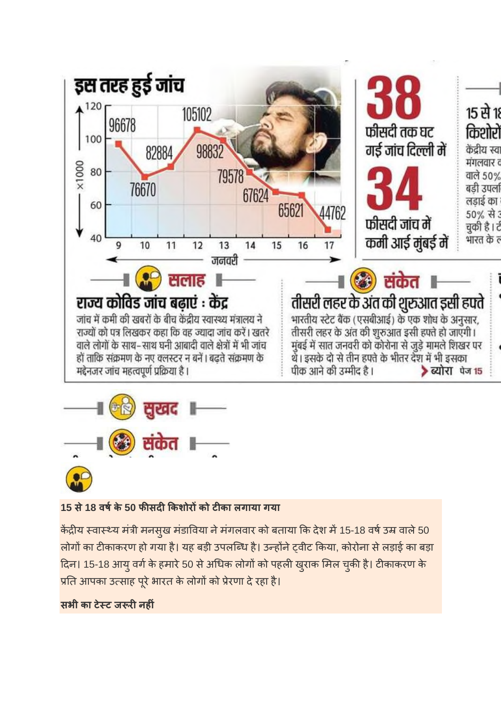



# **15 से18 वषके 50 फसदकशोरको टका लगाया गया**

केंद्रीय स्वास्थ्य मंत्री मनसुख मंडाविया ने मंगलवार को बताया कि देश में 15-18 वर्ष उम्र वाले 50 लोगों का टीकाकरण हो गया है। यह बड़ी उपलब्धि है। उन्होंने ट्वीट किया, कोरोना से लड़ाई का बड़ा दिन। 15-18 आयु वर्ग के हमारे 50 से अधिक लोगों को पहली खुराक मिल चुकी है। टीकाकरण के प्रति आपका उत्साह पूरे भारत के लोगों को प्रेरणा दे रहा है।

#### **सभी का टेट ज रनहं**